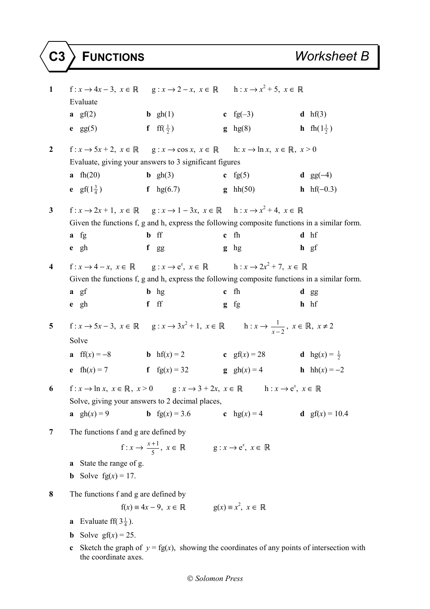| 1            | Evaluate                                                                                                       | f: $x \to 4x - 3$ , $x \in \mathbb{R}$ g: $x \to 2 - x$ , $x \in \mathbb{R}$ h: $x \to x^2 + 5$ , $x \in \mathbb{R}$                                                        |                     |                                                                                              |  |  |  |
|--------------|----------------------------------------------------------------------------------------------------------------|-----------------------------------------------------------------------------------------------------------------------------------------------------------------------------|---------------------|----------------------------------------------------------------------------------------------|--|--|--|
|              | a $gf(2)$                                                                                                      | <b>b</b> $gh(1)$                                                                                                                                                            | c fg $(-3)$         | <b>d</b> $hf(3)$                                                                             |  |  |  |
|              | $e$ gg(5)                                                                                                      | f ff( $\frac{1}{2}$ )                                                                                                                                                       | $g$ hg(8)           | <b>h</b> fh( $1\frac{1}{2}$ )                                                                |  |  |  |
| $\mathbf{2}$ |                                                                                                                | $f: x \to 5x + 2, x \in \mathbb{R}$ $g: x \to \cos x, x \in \mathbb{R}$ $h: x \to \ln x, x \in \mathbb{R}, x > 0$<br>Evaluate, giving your answers to 3 significant figures |                     |                                                                                              |  |  |  |
|              | a fh $(20)$                                                                                                    | <b>b</b> $gh(3)$                                                                                                                                                            | c fg $(5)$          | <b>d</b> $gg(-4)$                                                                            |  |  |  |
|              | <b>e</b> $gf(1\frac{3}{4})$ <b>f</b> $hg(6.7)$                                                                 |                                                                                                                                                                             | $g$ hh(50)          | <b>h</b> hf( $-0.3$ )                                                                        |  |  |  |
| $\mathbf{3}$ |                                                                                                                | f: $x \to 2x + 1$ , $x \in \mathbb{R}$ g: $x \to 1 - 3x$ , $x \in \mathbb{R}$ h: $x \to x^2 + 4$ , $x \in \mathbb{R}$                                                       |                     |                                                                                              |  |  |  |
|              |                                                                                                                |                                                                                                                                                                             |                     | Given the functions f, g and h, express the following composite functions in a similar form. |  |  |  |
|              | $a$ fg                                                                                                         | <b>b</b> ff                                                                                                                                                                 | c fh                | d hf                                                                                         |  |  |  |
|              | $e$ gh                                                                                                         | f gg                                                                                                                                                                        | $g$ hg              | $h$ gf                                                                                       |  |  |  |
| 4            |                                                                                                                | f: $x \to 4 - x$ , $x \in \mathbb{R}$ g: $x \to e^x$ , $x \in \mathbb{R}$ h: $x \to 2x^2 + 7$ , $x \in \mathbb{R}$                                                          |                     | Given the functions f, g and h, express the following composite functions in a similar form. |  |  |  |
|              | $a \text{ gf}$                                                                                                 | $\mathbf{b}$ hg                                                                                                                                                             | $c$ fh              | d gg                                                                                         |  |  |  |
|              | $e$ gh                                                                                                         | $f$ ff                                                                                                                                                                      | $g$ fg              | $h$ hf                                                                                       |  |  |  |
|              |                                                                                                                |                                                                                                                                                                             |                     |                                                                                              |  |  |  |
| 5            | Solve                                                                                                          | $f: x \to 5x-3, x \in \mathbb{R}$ $g: x \to 3x^2+1, x \in \mathbb{R}$ $h: x \to \frac{1}{x-2}, x \in \mathbb{R}, x \neq 2$                                                  |                     |                                                                                              |  |  |  |
|              |                                                                                                                | <b>a</b> ff(x) = -8 <b>b</b> hf(x) = 2 <b>c</b> gf(x) = 28 <b>d</b> hg(x) = $\frac{1}{2}$                                                                                   |                     |                                                                                              |  |  |  |
|              | e $fh(x) = 7$                                                                                                  | <b>f</b> $fg(x) = 32$                                                                                                                                                       | $g \quad gh(x) = 4$ | <b>h</b> $hh(x) = -2$                                                                        |  |  |  |
| 6            | $f: x \to \ln x, x \in \mathbb{R}, x > 0$ $g: x \to 3 + 2x, x \in \mathbb{R}$ $h: x \to e^x, x \in \mathbb{R}$ |                                                                                                                                                                             |                     |                                                                                              |  |  |  |
|              |                                                                                                                | Solve, giving your answers to 2 decimal places,<br><b>b</b> $fg(x) = 3.6$                                                                                                   |                     |                                                                                              |  |  |  |
|              | a $gh(x) = 9$                                                                                                  |                                                                                                                                                                             | c $hg(x) = 4$       | <b>d</b> $gf(x) = 10.4$                                                                      |  |  |  |
| 7            | The functions f and g are defined by                                                                           |                                                                                                                                                                             |                     |                                                                                              |  |  |  |
|              |                                                                                                                | $f: x \to \frac{x+1}{5}, x \in \mathbb{R}$ $g: x \to e^x, x \in \mathbb{R}$                                                                                                 |                     |                                                                                              |  |  |  |
|              | State the range of g.<br>a                                                                                     |                                                                                                                                                                             |                     |                                                                                              |  |  |  |
|              | <b>b</b> Solve $fg(x) = 17$ .                                                                                  |                                                                                                                                                                             |                     |                                                                                              |  |  |  |
| 8            | The functions f and g are defined by                                                                           |                                                                                                                                                                             |                     |                                                                                              |  |  |  |
|              |                                                                                                                | $f(x) = 4x - 9, x \in \mathbb{R}$ $g(x) = x^2, x \in \mathbb{R}$                                                                                                            |                     |                                                                                              |  |  |  |
|              | Evaluate ff( $3\frac{1}{4}$ ).<br>a                                                                            |                                                                                                                                                                             |                     |                                                                                              |  |  |  |
|              | Solve $gf(x) = 25$ .<br>$\mathbf b$                                                                            |                                                                                                                                                                             |                     |                                                                                              |  |  |  |
|              | Sketch the graph of $y = fg(x)$ , showing the coordinates of any points of intersection with<br>c              |                                                                                                                                                                             |                     |                                                                                              |  |  |  |

the coordinate axes.